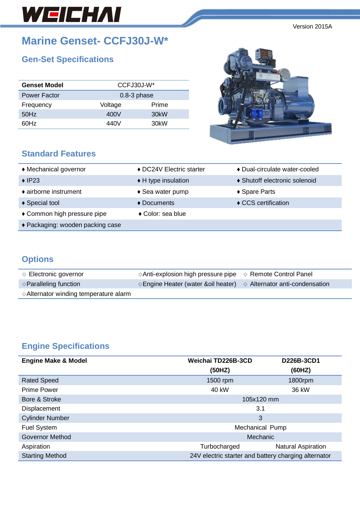# WEICHAI

**Marine Genset- CCFJ30J-W\***

# **Gen-Set Specifications**

| <b>Genset Model</b> | CCFJ30J-W*    |                   |  |
|---------------------|---------------|-------------------|--|
| <b>Power Factor</b> | $0.8-3$ phase |                   |  |
| Frequency           | Voltage       | Prime             |  |
| 50Hz                | 400V          | 30 <sub>k</sub> W |  |
| 60Hz                | 440V          | 30 <sub>k</sub> W |  |
|                     |               |                   |  |

### **Standard Features**



| ♦ Mechanical governor            | ♦ DC24V Electric starter   | ◆ Dual-circulate water-cooled |
|----------------------------------|----------------------------|-------------------------------|
| $\triangle$ IP23                 | ◆ H type insulation        | ♦ Shutoff electronic solenoid |
| • airborne instrument            | $\triangle$ Sea water pump | ◆ Spare Parts                 |
| ◆ Special tool                   | $\triangle$ Documents      | ♦ CCS certification           |
| ◆ Common high pressure pipe      | ◆ Color: sea blue          |                               |
| ◆ Packaging: wooden packing case |                            |                               |

## **Options**

| $\Diamond$ Electronic governor                  | $\Diamond$ Anti-explosion high pressure pipe $\Diamond$ Remote Control Panel          |  |
|-------------------------------------------------|---------------------------------------------------------------------------------------|--|
| $\Diamond$ Paralleling function                 | $\Diamond$ Engine Heater (water & oil heater) $\Diamond$ Alternator anti-condensation |  |
| $\diamond$ Alternator winding temperature alarm |                                                                                       |  |

# **Engine Specifications**

| <b>Engine Make &amp; Model</b> | Weichai TD226B-3CD                                   | D226B-3CD1                |
|--------------------------------|------------------------------------------------------|---------------------------|
|                                | (50HZ)                                               | (60HZ)                    |
| <b>Rated Speed</b>             | 1500 rpm                                             | 1800rpm                   |
| <b>Prime Power</b>             | 40 kW                                                | 36 kW                     |
| Bore & Stroke                  | 105x120 mm                                           |                           |
| Displacement                   | 3.1                                                  |                           |
| <b>Cylinder Number</b>         | 3                                                    |                           |
| Fuel System                    | Mechanical Pump                                      |                           |
| <b>Governor Method</b>         | Mechanic                                             |                           |
| Aspiration                     | Turbocharged                                         | <b>Natural Aspiration</b> |
| <b>Starting Method</b>         | 24V electric starter and battery charging alternator |                           |